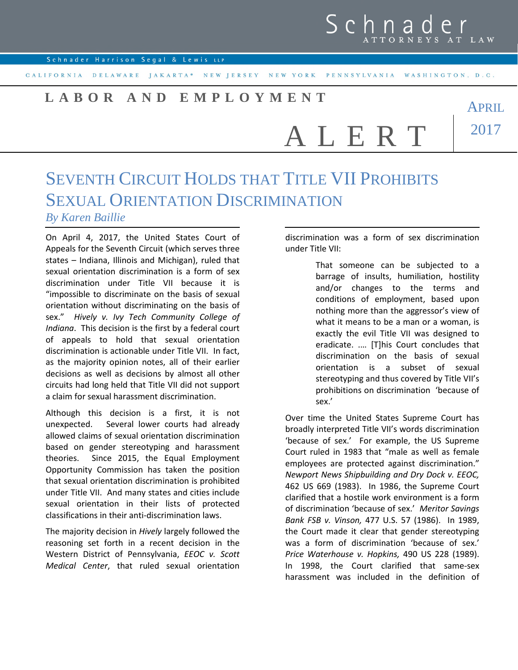## Schnad TTORNEYS AT LAW

APRIL

2017

Schnader Harrison Segal & Lewis LLP

CALIFORNIA DELAWARE JAKARTA\* NEW JERSEY NEW YORK PENNSYLVANIA WASHINGTON, D.C.

## **L A B O R A N D E M P L O Y M E N T**

A L E R T

## SEVENTH CIRCUIT HOLDS THAT TITLE VII PROHIBITS SEXUAL ORIENTATION DISCRIMINATION *By Karen Baillie*

On April 4, 2017, the United States Court of Appeals for the Seventh Circuit (which serves three states – Indiana, Illinois and Michigan), ruled that sexual orientation discrimination is a form of sex discrimination under Title VII because it is "impossible to discriminate on the basis of sexual orientation without discriminating on the basis of sex." *Hively v. Ivy Tech Community College of Indiana*. This decision is the first by a federal court of appeals to hold that sexual orientation discrimination is actionable under Title VII. In fact, as the majority opinion notes, all of their earlier decisions as well as decisions by almost all other circuits had long held that Title VII did not support a claim for sexual harassment discrimination.

Although this decision is a first, it is not unexpected. Several lower courts had already allowed claims of sexual orientation discrimination based on gender stereotyping and harassment theories. Since 2015, the Equal Employment Opportunity Commission has taken the position that sexual orientation discrimination is prohibited under Title VII. And many states and cities include sexual orientation in their lists of protected classifications in their anti-discrimination laws.

The majority decision in *Hively* largely followed the reasoning set forth in a recent decision in the Western District of Pennsylvania, *EEOC v. Scott Medical Center*, that ruled sexual orientation discrimination was a form of sex discrimination under Title VII:

> That someone can be subjected to a barrage of insults, humiliation, hostility and/or changes to the terms and conditions of employment, based upon nothing more than the aggressor's view of what it means to be a man or a woman, is exactly the evil Title VII was designed to eradicate. .… [T]his Court concludes that discrimination on the basis of sexual orientation is a subset of sexual stereotyping and thus covered by Title VII's prohibitions on discrimination 'because of sex.'

Over time the United States Supreme Court has broadly interpreted Title VII's words discrimination 'because of sex.' For example, the US Supreme Court ruled in 1983 that "male as well as female employees are protected against discrimination." *Newport News Shipbuilding and Dry Dock v. EEOC,* 462 US 669 (1983). In 1986, the Supreme Court clarified that a hostile work environment is a form of discrimination 'because of sex.' *Meritor Savings Bank FSB v. Vinson,* 477 U.S. 57 (1986). In 1989, the Court made it clear that gender stereotyping was a form of discrimination 'because of sex.' *Price Waterhouse v. Hopkins,* 490 US 228 (1989). In 1998, the Court clarified that same-sex harassment was included in the definition of